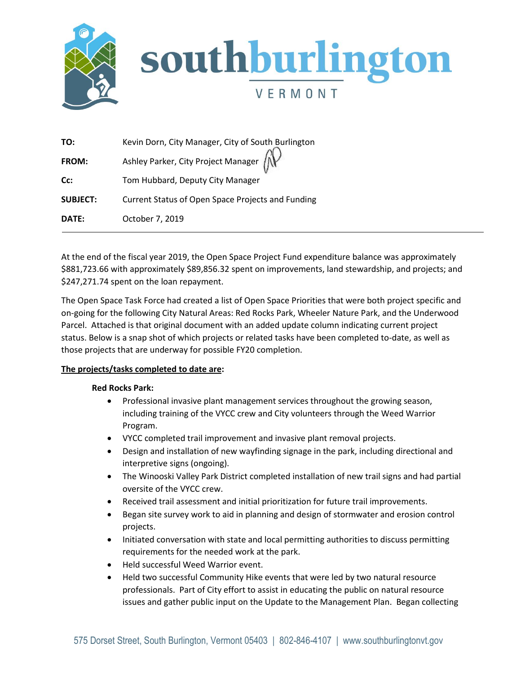

| TO:             | Kevin Dorn, City Manager, City of South Burlington              |
|-----------------|-----------------------------------------------------------------|
| <b>FROM:</b>    | Ashley Parker, City Project Manager $\widehat{f_{\mathcal{N}}}$ |
| Cc:             | Tom Hubbard, Deputy City Manager                                |
| <b>SUBJECT:</b> | Current Status of Open Space Projects and Funding               |
| DATE:           | October 7, 2019                                                 |

At the end of the fiscal year 2019, the Open Space Project Fund expenditure balance was approximately \$881,723.66 with approximately \$89,856.32 spent on improvements, land stewardship, and projects; and \$247,271.74 spent on the loan repayment.

The Open Space Task Force had created a list of Open Space Priorities that were both project specific and on-going for the following City Natural Areas: Red Rocks Park, Wheeler Nature Park, and the Underwood Parcel. Attached is that original document with an added update column indicating current project status. Below is a snap shot of which projects or related tasks have been completed to-date, as well as those projects that are underway for possible FY20 completion.

# **The projects/tasks completed to date are:**

### **Red Rocks Park:**

- Professional invasive plant management services throughout the growing season, including training of the VYCC crew and City volunteers through the Weed Warrior Program.
- VYCC completed trail improvement and invasive plant removal projects.
- Design and installation of new wayfinding signage in the park, including directional and interpretive signs (ongoing).
- The Winooski Valley Park District completed installation of new trail signs and had partial oversite of the VYCC crew.
- Received trail assessment and initial prioritization for future trail improvements.
- Began site survey work to aid in planning and design of stormwater and erosion control projects.
- Initiated conversation with state and local permitting authorities to discuss permitting requirements for the needed work at the park.
- Held successful Weed Warrior event.
- Held two successful Community Hike events that were led by two natural resource professionals. Part of City effort to assist in educating the public on natural resource issues and gather public input on the Update to the Management Plan. Began collecting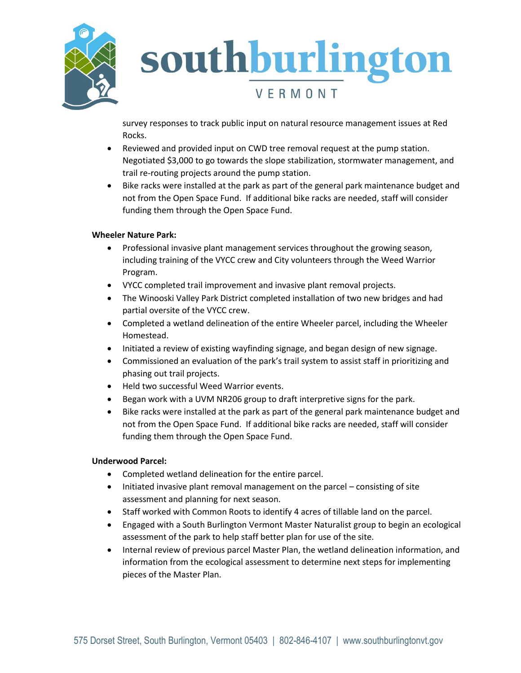

# southburlington VERMONT

survey responses to track public input on natural resource management issues at Red Rocks.

- Reviewed and provided input on CWD tree removal request at the pump station. Negotiated \$3,000 to go towards the slope stabilization, stormwater management, and trail re-routing projects around the pump station.
- Bike racks were installed at the park as part of the general park maintenance budget and not from the Open Space Fund. If additional bike racks are needed, staff will consider funding them through the Open Space Fund.

# **Wheeler Nature Park:**

- Professional invasive plant management services throughout the growing season, including training of the VYCC crew and City volunteers through the Weed Warrior Program.
- VYCC completed trail improvement and invasive plant removal projects.
- The Winooski Valley Park District completed installation of two new bridges and had partial oversite of the VYCC crew.
- Completed a wetland delineation of the entire Wheeler parcel, including the Wheeler Homestead.
- Initiated a review of existing wayfinding signage, and began design of new signage.
- Commissioned an evaluation of the park's trail system to assist staff in prioritizing and phasing out trail projects.
- Held two successful Weed Warrior events.
- Began work with a UVM NR206 group to draft interpretive signs for the park.
- Bike racks were installed at the park as part of the general park maintenance budget and not from the Open Space Fund. If additional bike racks are needed, staff will consider funding them through the Open Space Fund.

# **Underwood Parcel:**

- Completed wetland delineation for the entire parcel.
- Initiated invasive plant removal management on the parcel consisting of site assessment and planning for next season.
- Staff worked with Common Roots to identify 4 acres of tillable land on the parcel.
- Engaged with a South Burlington Vermont Master Naturalist group to begin an ecological assessment of the park to help staff better plan for use of the site.
- Internal review of previous parcel Master Plan, the wetland delineation information, and information from the ecological assessment to determine next steps for implementing pieces of the Master Plan.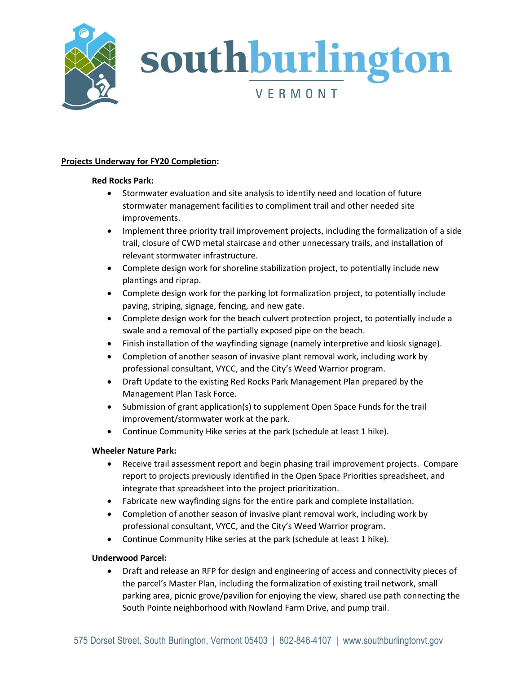

# southburlington VERMONT

### **Projects Underway for FY20 Completion:**

### **Red Rocks Park:**

- Stormwater evaluation and site analysis to identify need and location of future stormwater management facilities to compliment trail and other needed site improvements.
- Implement three priority trail improvement projects, including the formalization of a side trail, closure of CWD metal staircase and other unnecessary trails, and installation of relevant stormwater infrastructure.
- Complete design work for shoreline stabilization project, to potentially include new plantings and riprap.
- Complete design work for the parking lot formalization project, to potentially include paving, striping, signage, fencing, and new gate.
- Complete design work for the beach culvert protection project, to potentially include a swale and a removal of the partially exposed pipe on the beach.
- Finish installation of the wayfinding signage (namely interpretive and kiosk signage).
- Completion of another season of invasive plant removal work, including work by professional consultant, VYCC, and the City's Weed Warrior program.
- Draft Update to the existing Red Rocks Park Management Plan prepared by the Management Plan Task Force.
- Submission of grant application(s) to supplement Open Space Funds for the trail improvement/stormwater work at the park.
- Continue Community Hike series at the park (schedule at least 1 hike).

# **Wheeler Nature Park:**

- Receive trail assessment report and begin phasing trail improvement projects. Compare report to projects previously identified in the Open Space Priorities spreadsheet, and integrate that spreadsheet into the project prioritization.
- Fabricate new wayfinding signs for the entire park and complete installation.
- Completion of another season of invasive plant removal work, including work by professional consultant, VYCC, and the City's Weed Warrior program.
- Continue Community Hike series at the park (schedule at least 1 hike).

# **Underwood Parcel:**

 Draft and release an RFP for design and engineering of access and connectivity pieces of the parcel's Master Plan, including the formalization of existing trail network, small parking area, picnic grove/pavilion for enjoying the view, shared use path connecting the South Pointe neighborhood with Nowland Farm Drive, and pump trail.